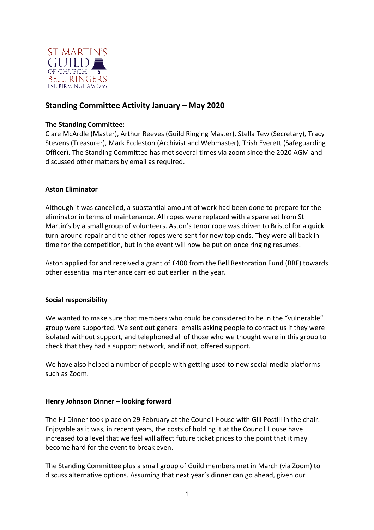

# **Standing Committee Activity January – May 2020**

#### **The Standing Committee:**

Clare McArdle (Master), Arthur Reeves (Guild Ringing Master), Stella Tew (Secretary), Tracy Stevens (Treasurer), Mark Eccleston (Archivist and Webmaster), Trish Everett (Safeguarding Officer). The Standing Committee has met several times via zoom since the 2020 AGM and discussed other matters by email as required.

#### **Aston Eliminator**

Although it was cancelled, a substantial amount of work had been done to prepare for the eliminator in terms of maintenance. All ropes were replaced with a spare set from St Martin's by a small group of volunteers. Aston's tenor rope was driven to Bristol for a quick turn-around repair and the other ropes were sent for new top ends. They were all back in time for the competition, but in the event will now be put on once ringing resumes.

Aston applied for and received a grant of £400 from the Bell Restoration Fund (BRF) towards other essential maintenance carried out earlier in the year.

#### **Social responsibility**

We wanted to make sure that members who could be considered to be in the "vulnerable" group were supported. We sent out general emails asking people to contact us if they were isolated without support, and telephoned all of those who we thought were in this group to check that they had a support network, and if not, offered support.

We have also helped a number of people with getting used to new social media platforms such as Zoom.

#### **Henry Johnson Dinner – looking forward**

The HJ Dinner took place on 29 February at the Council House with Gill Postill in the chair. Enjoyable as it was, in recent years, the costs of holding it at the Council House have increased to a level that we feel will affect future ticket prices to the point that it may become hard for the event to break even.

The Standing Committee plus a small group of Guild members met in March (via Zoom) to discuss alternative options. Assuming that next year's dinner can go ahead, given our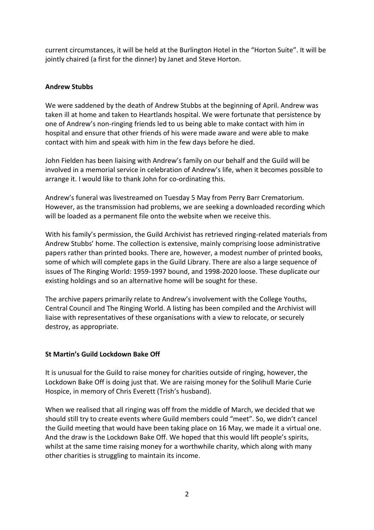current circumstances, it will be held at the Burlington Hotel in the "Horton Suite". It will be jointly chaired (a first for the dinner) by Janet and Steve Horton.

### **Andrew Stubbs**

We were saddened by the death of Andrew Stubbs at the beginning of April. Andrew was taken ill at home and taken to Heartlands hospital. We were fortunate that persistence by one of Andrew's non-ringing friends led to us being able to make contact with him in hospital and ensure that other friends of his were made aware and were able to make contact with him and speak with him in the few days before he died.

John Fielden has been liaising with Andrew's family on our behalf and the Guild will be involved in a memorial service in celebration of Andrew's life, when it becomes possible to arrange it. I would like to thank John for co-ordinating this.

Andrew's funeral was livestreamed on Tuesday 5 May from Perry Barr Crematorium. However, as the transmission had problems, we are seeking a downloaded recording which will be loaded as a permanent file onto the website when we receive this.

With his family's permission, the Guild Archivist has retrieved ringing-related materials from Andrew Stubbs' home. The collection is extensive, mainly comprising loose administrative papers rather than printed books. There are, however, a modest number of printed books, some of which will complete gaps in the Guild Library. There are also a large sequence of issues of The Ringing World: 1959-1997 bound, and 1998-2020 loose. These duplicate our existing holdings and so an alternative home will be sought for these.

The archive papers primarily relate to Andrew's involvement with the College Youths, Central Council and The Ringing World. A listing has been compiled and the Archivist will liaise with representatives of these organisations with a view to relocate, or securely destroy, as appropriate.

### **St Martin's Guild Lockdown Bake Off**

It is unusual for the Guild to raise money for charities outside of ringing, however, the Lockdown Bake Off is doing just that. We are raising money for the Solihull Marie Curie Hospice, in memory of Chris Everett (Trish's husband).

When we realised that all ringing was off from the middle of March, we decided that we should still try to create events where Guild members could "meet". So, we didn't cancel the Guild meeting that would have been taking place on 16 May, we made it a virtual one. And the draw is the Lockdown Bake Off. We hoped that this would lift people's spirits, whilst at the same time raising money for a worthwhile charity, which along with many other charities is struggling to maintain its income.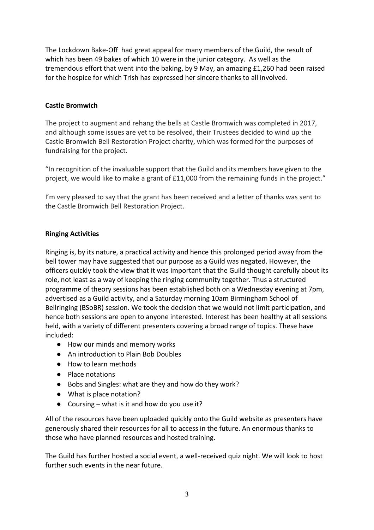The Lockdown Bake-Off had great appeal for many members of the Guild, the result of which has been 49 bakes of which 10 were in the junior category. As well as the tremendous effort that went into the baking, by 9 May, an amazing £1,260 had been raised for the hospice for which Trish has expressed her sincere thanks to all involved.

## **Castle Bromwich**

The project to augment and rehang the bells at Castle Bromwich was completed in 2017, and although some issues are yet to be resolved, their Trustees decided to wind up the Castle Bromwich Bell Restoration Project charity, which was formed for the purposes of fundraising for the project.

"In recognition of the invaluable support that the Guild and its members have given to the project, we would like to make a grant of £11,000 from the remaining funds in the project."

I'm very pleased to say that the grant has been received and a letter of thanks was sent to the Castle Bromwich Bell Restoration Project.

# **Ringing Activities**

Ringing is, by its nature, a practical activity and hence this prolonged period away from the bell tower may have suggested that our purpose as a Guild was negated. However, the officers quickly took the view that it was important that the Guild thought carefully about its role, not least as a way of keeping the ringing community together. Thus a structured programme of theory sessions has been established both on a Wednesday evening at 7pm, advertised as a Guild activity, and a Saturday morning 10am Birmingham School of Bellringing (BSoBR) session. We took the decision that we would not limit participation, and hence both sessions are open to anyone interested. Interest has been healthy at all sessions held, with a variety of different presenters covering a broad range of topics. These have included:

- How our minds and memory works
- An introduction to Plain Bob Doubles
- How to learn methods
- Place notations
- Bobs and Singles: what are they and how do they work?
- What is place notation?
- $\bullet$  Coursing what is it and how do you use it?

All of the resources have been uploaded quickly onto the Guild website as presenters have generously shared their resources for all to access in the future. An enormous thanks to those who have planned resources and hosted training.

The Guild has further hosted a social event, a well-received quiz night. We will look to host further such events in the near future.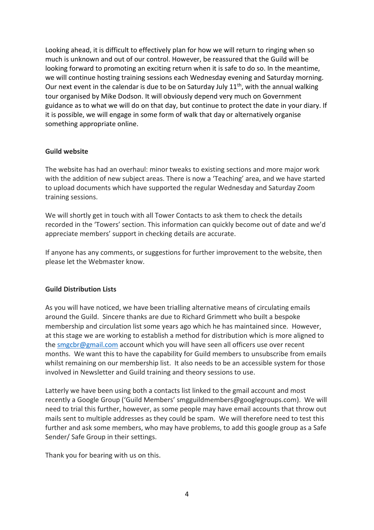Looking ahead, it is difficult to effectively plan for how we will return to ringing when so much is unknown and out of our control. However, be reassured that the Guild will be looking forward to promoting an exciting return when it is safe to do so. In the meantime, we will continue hosting training sessions each Wednesday evening and Saturday morning. Our next event in the calendar is due to be on Saturday July  $11<sup>th</sup>$ , with the annual walking tour organised by Mike Dodson. It will obviously depend very much on Government guidance as to what we will do on that day, but continue to protect the date in your diary. If it is possible, we will engage in some form of walk that day or alternatively organise something appropriate online.

#### **Guild website**

The website has had an overhaul: minor tweaks to existing sections and more major work with the addition of new subject areas. There is now a 'Teaching' area, and we have started to upload documents which have supported the regular Wednesday and Saturday Zoom training sessions.

We will shortly get in touch with all Tower Contacts to ask them to check the details recorded in the 'Towers' section. This information can quickly become out of date and we'd appreciate members' support in checking details are accurate.

If anyone has any comments, or suggestions for further improvement to the website, then please let the Webmaster know.

### **Guild Distribution Lists**

As you will have noticed, we have been trialling alternative means of circulating emails around the Guild. Sincere thanks are due to Richard Grimmett who built a bespoke membership and circulation list some years ago which he has maintained since. However, at this stage we are working to establish a method for distribution which is more aligned to the [smgcbr@gmail.com](mailto:smgcbr@gmail.com) account which you will have seen all officers use over recent months. We want this to have the capability for Guild members to unsubscribe from emails whilst remaining on our membership list. It also needs to be an accessible system for those involved in Newsletter and Guild training and theory sessions to use.

Latterly we have been using both a contacts list linked to the gmail account and most recently a Google Group ('Guild Members' smgguildmembers@googlegroups.com). We will need to trial this further, however, as some people may have email accounts that throw out mails sent to multiple addresses as they could be spam. We will therefore need to test this further and ask some members, who may have problems, to add this google group as a Safe Sender/ Safe Group in their settings.

Thank you for bearing with us on this.